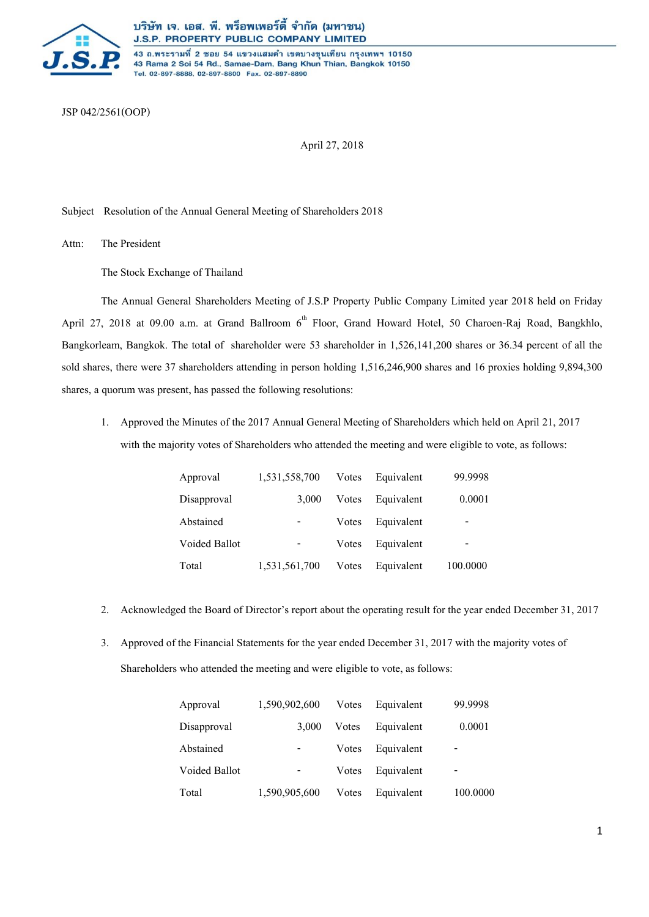

43 ถ.พระรามที่ 2 ซอย 54 แขวงแสมดำ เขตบางขุนเทียน กรุงเทพฯ 10150 43 Rama 2 Soi 54 Rd., Samae-Dam, Bang Khun Thian, Bangkok 10150 Tel. 02-897-8888, 02-897-8800 Fax. 02-897-8890

JSP042/2561(OOP)

April 27, 2018

Subject Resolution of the Annual General Meeting of Shareholders 2018

Attn: The President

The Stock Exchange of Thailand

The Annual General Shareholders Meeting of J.S.P Property Public Company Limited year 2018 held on Friday April 27, 2018 at 09.00 a.m. at Grand Ballroom 6<sup>th</sup> Floor, Grand Howard Hotel, 50 Charoen-Raj Road, Bangkhlo, Bangkorleam, Bangkok. The total of shareholder were 53 shareholder in 1,526,141,200 shares or 36.34 percent of all the sold shares, there were 37 shareholders attending in person holding 1,516,246,900 shares and 16 proxies holding 9,894,300 shares, a quorum was present, has passed the following resolutions:

1. Approved the Minutes of the 2017 Annual General Meeting of Shareholders which held on April 21, 2017 with the majority votes of Shareholders who attended the meeting and were eligible to vote, as follows:

| Approval      | 1,531,558,700 | Votes | Equivalent | 99.9998  |
|---------------|---------------|-------|------------|----------|
| Disapproval   | 3.000         | Votes | Equivalent | 0.0001   |
| Abstained     |               | Votes | Equivalent |          |
| Voided Ballot |               | Votes | Equivalent |          |
| Total         | 1,531,561,700 | Votes | Equivalent | 100.0000 |

- 2. Acknowledged the Board of Director's report about the operating result for the year ended December 31, 2017
- 3. Approved of the Financial Statements for the year ended December 31, 2017 with the majority votes of Shareholders who attended the meeting and were eligible to vote, as follows:

| Approval      | 1,590,902,600 | Votes | Equivalent | 99.9998                  |
|---------------|---------------|-------|------------|--------------------------|
| Disapproval   | 3,000         | Votes | Equivalent | 0.0001                   |
| Abstained     |               | Votes | Equivalent |                          |
| Voided Ballot |               | Votes | Equivalent | $\overline{\phantom{0}}$ |
| Total         | 1,590,905,600 | Votes | Equivalent | 100.0000                 |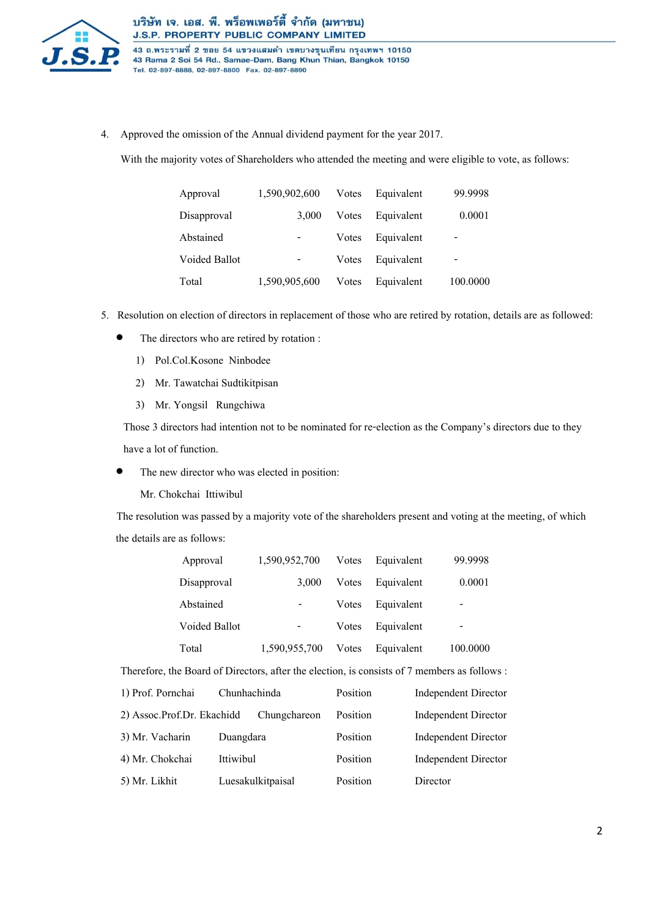

43 ถ.พระรามที่ 2 ซอย 54 แขวงแสมดำ เขตบางขุนเทียน กรุงเทพฯ 10150 43 Rama 2 Soi 54 Rd., Samae-Dam, Bang Khun Thian, Bangkok 10150 Tel. 02-897-8888, 02-897-8800 Fax. 02-897-8890

4. Approved the omission of the Annual dividend payment for the year 2017.

With the majority votes of Shareholders who attended the meeting and were eligible to vote, as follows:

| Approval             | 1,590,902,600 | Votes | Equivalent | 99.9998  |
|----------------------|---------------|-------|------------|----------|
| Disapproval          | 3.000         | Votes | Equivalent | 0.0001   |
| Abstained            |               | Votes | Equivalent |          |
| <b>Voided Ballot</b> | -             | Votes | Equivalent | -        |
| Total                | 1,590,905,600 | Votes | Equivalent | 100.0000 |

- 5. Resolution on election of directors in replacement of those who are retired by rotation, details are as followed:
	- The directors who are retired by rotation :
		- 1) Pol.Col.Kosone Ninbodee
		- 2) Mr. Tawatchai Sudtikitpisan
		- 3) Mr. Yongsil Rungchiwa

Those 3 directors had intention not to be nominated for re-election as the Company's directors due to they have a lot of function.

- The new director who was elected in position:
	- Mr. Chokchai Ittiwibul

 The resolution was passed by a majority vote of the shareholders present and voting at the meeting, of which the details are as follows:

| Approval                                                                                     |               | 1,590,952,700     | Votes    | Equivalent | 99.9998                     |
|----------------------------------------------------------------------------------------------|---------------|-------------------|----------|------------|-----------------------------|
| Disapproval                                                                                  |               | 3,000             | Votes    | Equivalent | 0.0001                      |
| Abstained                                                                                    |               |                   | Votes    | Equivalent |                             |
|                                                                                              | Voided Ballot |                   | Votes    | Equivalent |                             |
| Total                                                                                        |               | 1,590,955,700     | Votes    | Equivalent | 100,0000                    |
| Therefore, the Board of Directors, after the election, is consists of 7 members as follows : |               |                   |          |            |                             |
| 1) Prof. Pornchai                                                                            | Chunhachinda  |                   | Position |            | Independent Director        |
| 2) Assoc.Prof.Dr. Ekachidd                                                                   |               | Chungchareon      | Position |            | <b>Independent Director</b> |
| 3) Mr. Vacharin                                                                              | Duangdara     |                   | Position |            | Independent Director        |
| 4) Mr. Chokchai                                                                              | Ittiwibul     |                   | Position |            | Independent Director        |
| 5) Mr. Likhit                                                                                |               | Luesakulkitpaisal | Position |            | Director                    |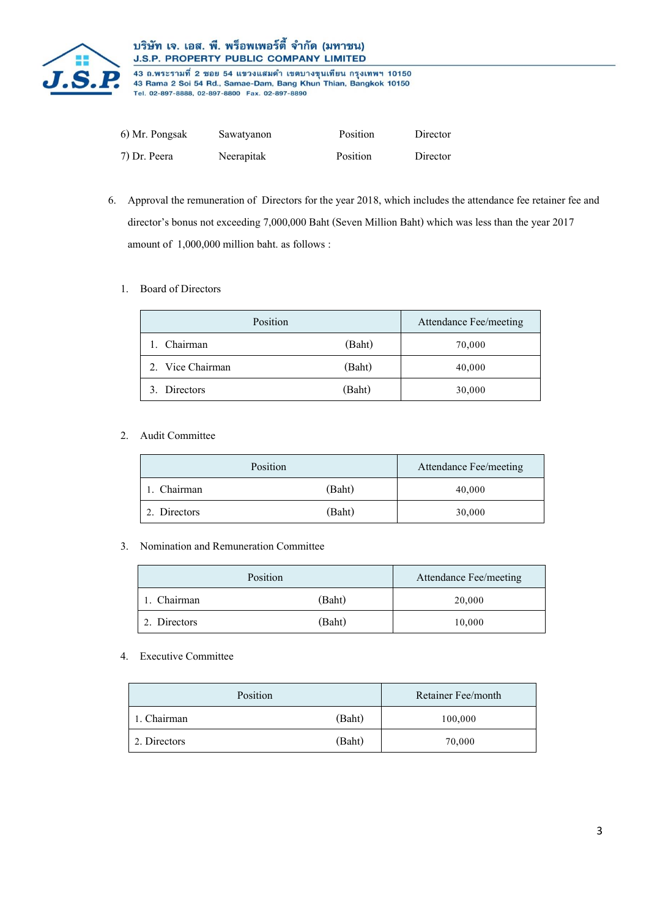

## บริษัท เจ. เอส. พี. พร็อพเพอร์ตี้ จำกัด (มหาชน) **J.S.P. PROPERTY PUBLIC COMPANY LIMITED**

43 ถ.พระรามที่ 2 ซอย 54 แขวงแสมดำ เขตบางขุนเทียน กรุงเทพฯ 10150 43 Rama 2 Soi 54 Rd., Samae-Dam, Bang Khun Thian, Bangkok 10150<br>Tel. 02-897-8888, 02-897-8800 Fax. 02-897-8890

| 6) Mr. Pongsak | Sawatyanon | Position | Director |
|----------------|------------|----------|----------|
| 7) Dr. Peera   | Neerapitak | Position | Director |

6. Approval the remuneration of Directors for the year 2018, which includes the attendance fee retainer fee and director's bonus not exceeding 7,000,000 Baht (Seven Million Baht) which was less than the year 2017 amount of 1,000,000 million baht. as follows :

#### 1. Board of Directors

| Position         |        | Attendance Fee/meeting |
|------------------|--------|------------------------|
| Chairman         | (Baht) | 70,000                 |
| 2. Vice Chairman | (Baht) | 40,000                 |
| 3. Directors     | (Baht) | 30,000                 |

### 2. Audit Committee

| Position     |        | Attendance Fee/meeting |
|--------------|--------|------------------------|
| 1. Chairman  | (Baht) | 40,000                 |
| 2. Directors | (Baht) | 30,000                 |

#### 3. Nomination and Remuneration Committee

| Position     |        | Attendance Fee/meeting |
|--------------|--------|------------------------|
| . Chairman   | (Baht) | 20,000                 |
| 2. Directors | (Baht) | 10,000                 |

## 4. Executive Committee

| Position     |        | Retainer Fee/month |
|--------------|--------|--------------------|
| 1. Chairman  | (Baht) | 100,000            |
| 2. Directors | (Baht) | 70,000             |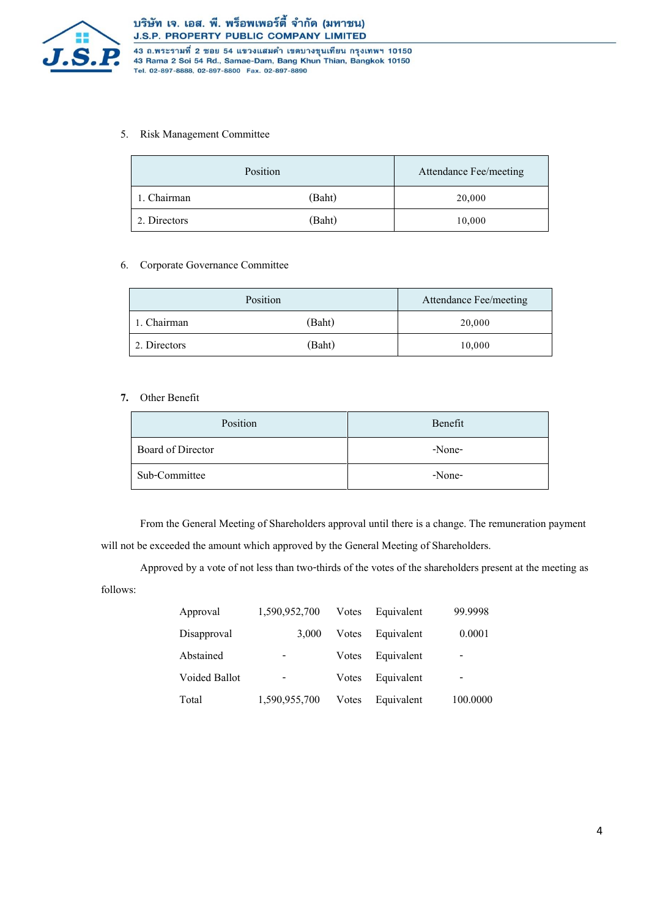

43 ถ.พระรามที่ 2 ซอย 54 แขวงแสมดำ เขตบางขุนเทียน กรุงเทพฯ 10150 43 Rama 2 Soi 54 Rd., Samae-Dam, Bang Khun Thian, Bangkok 10150 Tel. 02-897-8888, 02-897-8800 Fax. 02-897-8890

#### 5. Risk Management Committee

|              | Position | Attendance Fee/meeting |
|--------------|----------|------------------------|
| 1. Chairman  | (Baht)   | 20,000                 |
| 2. Directors | (Baht)   | 10,000                 |

#### 6. Corporate Governance Committee

|              | Position | Attendance Fee/meeting |
|--------------|----------|------------------------|
| 1. Chairman  | (Baht)   | 20,000                 |
| 2. Directors | (Baht)   | 10,000                 |

#### **7.** Other Benefit

| Position          | Benefit |
|-------------------|---------|
| Board of Director | -None-  |
| Sub-Committee     | -None-  |

From the General Meeting of Shareholders approval until there is a change. The remuneration payment will not be exceeded the amount which approved by the General Meeting of Shareholders.

Approved by a vote of not less than two-thirds of the votes of the shareholders present at the meeting as follows:

| Approval             | 1,590,952,700            | Votes | Equivalent | 99.9998  |
|----------------------|--------------------------|-------|------------|----------|
| Disapproval          | 3,000                    | Votes | Equivalent | 0.0001   |
| Abstained            | -                        | Votes | Equivalent | -        |
| <b>Voided Ballot</b> | $\overline{\phantom{a}}$ | Votes | Equivalent |          |
| Total                | 1,590,955,700            | Votes | Equivalent | 100.0000 |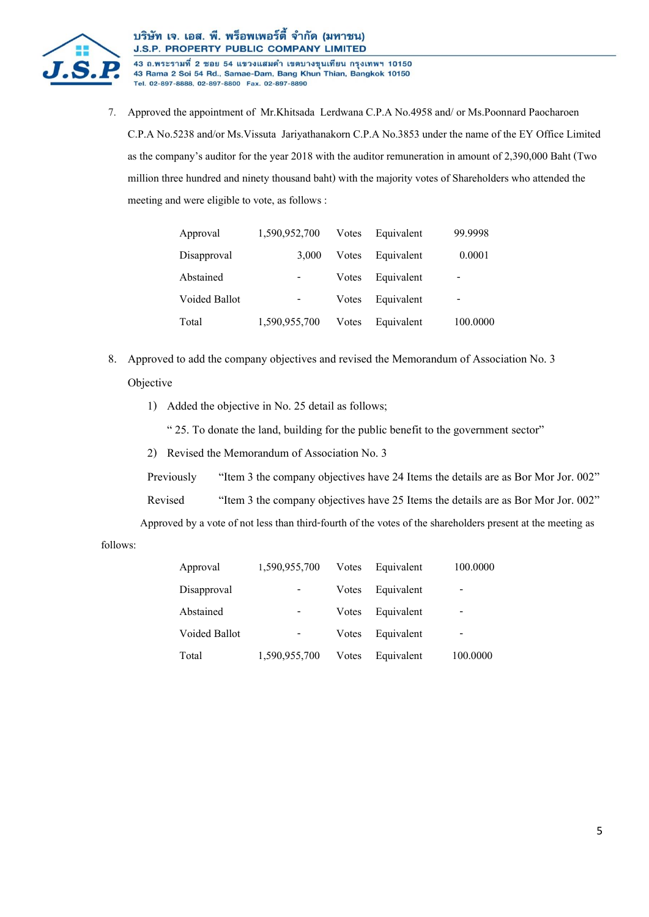

## บริษัท เจ. เอส. พี. พร็อพเพอร์ตี้ จำกัด (มหาชน) J.S.P. PROPERTY PUBLIC COMPANY LIMITED

43 ถ.พระรามที่ 2 ซอย 54 แขวงแสมดำ เขตบางขุนเทียน กรุงเทพฯ 10150 43 Rama 2 Soi 54 Rd., Samae-Dam, Bang Khun Thian, Bangkok 10150 Tel. 02-897-8888, 02-897-8800 Fax. 02-897-8890

7. Approved the appointment of Mr.Khitsada Lerdwana C.P.A No.4958 and/ or Ms.Poonnard Paocharoen C.P.A No.5238 and/or Ms.Vissuta Jariyathanakorn C.P.A No.3853 under the name of the EY Office Limited as the company's auditor for the year 2018 with the auditor remuneration in amount of 2,390,000 Baht (Two million three hundred and ninety thousand baht) with the majority votes of Shareholders who attended the meeting and were eligible to vote, as follows :

| Approval             | 1,590,952,700 | Votes | Equivalent | 99.9998  |
|----------------------|---------------|-------|------------|----------|
| Disapproval          | 3.000         | Votes | Equivalent | 0.0001   |
| Abstained            |               | Votes | Equivalent |          |
| <b>Voided Ballot</b> |               | Votes | Equivalent |          |
| Total                | 1,590,955,700 | Votes | Equivalent | 100.0000 |

- 8. Approved to add the company objectives and revised the Memorandum of Association No. 3 Objective
	- 1) Added the objective in No. 25 detail as follows;

" 25. To donate the land, building for the public benefit to the government sector"

2) Revised the Memorandum of Association No. 3

Previously "Item 3 the company objectives have 24 Items the details are as Bor Mor Jor. 002"

Revised "Item 3 the company objectives have 25 Items the details are as Bor Mor Jor. 002"

Approved by a vote of not less than third-fourth of the votes of the shareholders present at the meeting as

follows:

| Approval             | 1,590,955,700 | Votes | Equivalent | 100.0000 |
|----------------------|---------------|-------|------------|----------|
| Disapproval          | -             | Votes | Equivalent | -        |
| Abstained            |               | Votes | Equivalent |          |
| <b>Voided Ballot</b> |               | Votes | Equivalent | -        |
| Total                | 1,590,955,700 | Votes | Equivalent | 100.0000 |